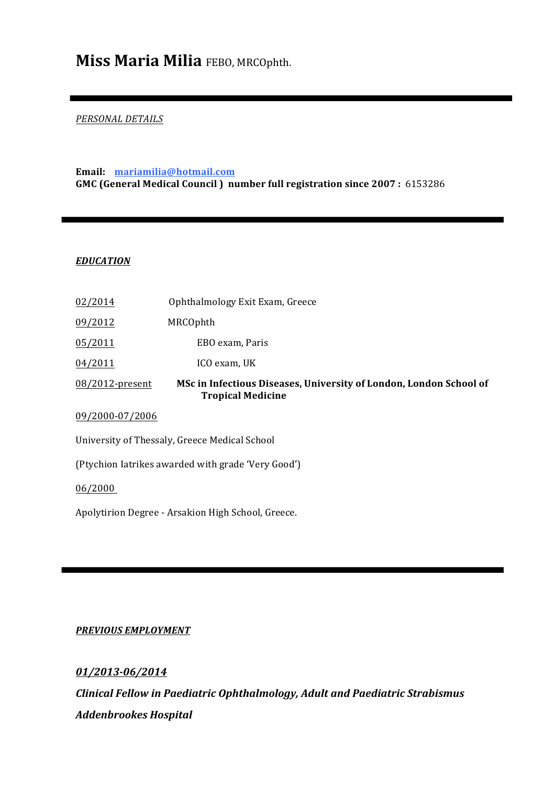# **Miss Maria Milia** FEBO, MRCOphth.

# *PERSONAL DETAILS*

# **Email: mariamilia@hotmail.com GMC (General Medical Council ) number full registration since 2007 :** 6153286

# *EDUCATION*

| 02/2014                                            | Ophthalmology Exit Exam, Greece                                                                |
|----------------------------------------------------|------------------------------------------------------------------------------------------------|
| 09/2012                                            | MRCOphth                                                                                       |
| 05/2011                                            | EBO exam, Paris                                                                                |
| 04/2011                                            | ICO exam, UK                                                                                   |
| 08/2012-present                                    | MSc in Infectious Diseases, University of London, London School of<br><b>Tropical Medicine</b> |
| 09/2000-07/2006                                    |                                                                                                |
| University of Thessaly, Greece Medical School      |                                                                                                |
| (Ptychion latrikes awarded with grade 'Very Good') |                                                                                                |
| 06/2000                                            |                                                                                                |
| Apolytirion Degree - Arsakion High School, Greece. |                                                                                                |

## *PREVIOUS EMPLOYMENT*

*01/2013-06/2014 Clinical Fellow in Paediatric Ophthalmology, Adult and Paediatric Strabismus Addenbrookes Hospital*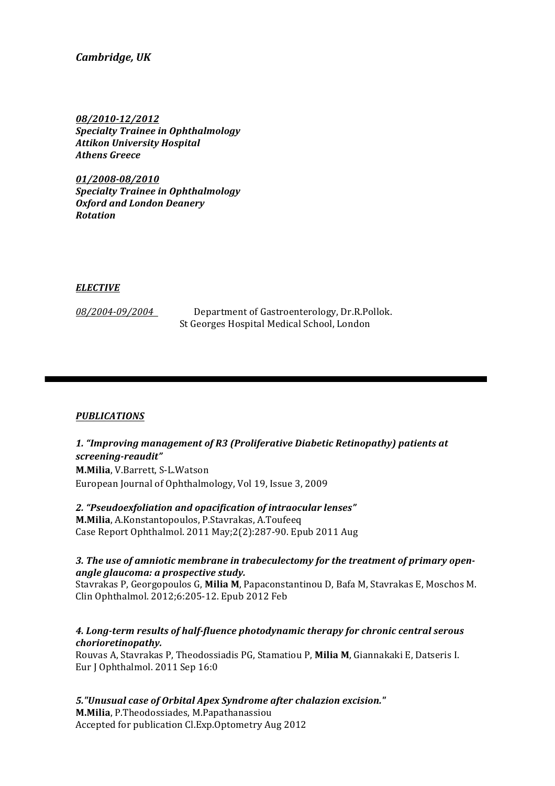*Cambridge, UK*

*08/2010-12/2012 Specialty Trainee in Ophthalmology Attikon University Hospital Athens Greece*

*01/2008-08/2010 Specialty Trainee in Ophthalmology Oxford and London Deanery Rotation*

#### *ELECTIVE*

08/2004-09/2004 Department of Gastroenterology, Dr.R.Pollok. St Georges Hospital Medical School, London

#### *PUBLICATIONS*

*1. "Improving management of R3 (Proliferative Diabetic Retinopathy) patients at screening-reaudit"* **M.Milia**, V.Barrett, S-L.Watson European Journal of Ophthalmology, Vol 19, Issue 3, 2009

*2. "Pseudoexfoliation and opacification of intraocular lenses"* **M.Milia**, A.Konstantopoulos, P.Stavrakas, A.Toufeeq Case Report Ophthalmol. 2011 May;2(2):287-90. Epub 2011 Aug

#### *3. The use of amniotic membrane in trabeculectomy for the treatment of primary openangle glaucoma: a prospective study.*

Stavrakas P, Georgopoulos G, **Milia M**, Papaconstantinou D, Bafa M, Stavrakas E, Moschos M. Clin Ophthalmol. 2012;6:205-12. Epub 2012 Feb

## *4. Long-term results of half-fluence photodynamic therapy for chronic central serous chorioretinopathy.*

Rouvas A, Stavrakas P, Theodossiadis PG, Stamatiou P, **Milia M**, Giannakaki E, Datseris I. Eur J Ophthalmol. 2011 Sep 16:0

*5."Unusual case of Orbital Apex Syndrome after chalazion excision."* **M.Milia**, P.Theodossiades, M.Papathanassiou Accepted for publication Cl.Exp.Optometry Aug 2012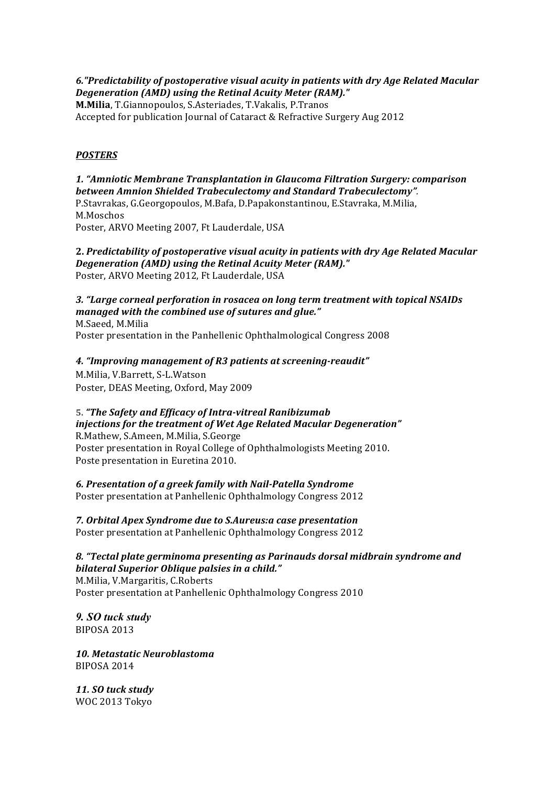*6."Predictability of postoperative visual acuity in patients with dry Age Related Macular Degeneration (AMD) using the Retinal Acuity Meter (RAM)."*

**M.Milia**, T.Giannopoulos, S.Asteriades, T.Vakalis, P.Tranos Accepted for publication Journal of Cataract & Refractive Surgery Aug 2012

# *POSTERS*

*1. "Amniotic Membrane Transplantation in Glaucoma Filtration Surgery: comparison between Amnion Shielded Trabeculectomy and Standard Trabeculectomy".* P.Stavrakas, G.Georgopoulos, M.Bafa, D.Papakonstantinou, E.Stavraka, M.Milia, M.Moschos Poster, ARVO Meeting 2007, Ft Lauderdale, USA

**2.** *Predictability of postoperative visual acuity in patients with dry Age Related Macular Degeneration (AMD) using the Retinal Acuity Meter (RAM)."*

Poster, ARVO Meeting 2012, Ft Lauderdale, USA

# *3. "Large corneal perforation in rosacea on long term treatment with topical NSAIDs managed with the combined use of sutures and glue."*

M.Saeed, M.Milia Poster presentation in the Panhellenic Ophthalmological Congress 2008

# *4. "Improving management of R3 patients at screening-reaudit"*

M.Milia, V.Barrett, S-L.Watson Poster, DEAS Meeting, Oxford, May 2009

#### **5.** *"The Safety and Efficacy of Intra-vitreal Ranibizumab injections for the treatment of Wet Age Related Macular Degeneration"*

R.Mathew, S.Ameen, M.Milia, S.George Poster presentation in Royal College of Ophthalmologists Meeting 2010. Poste presentation in Euretina 2010.

*6. Presentation of a greek family with Nail-Patella Syndrome* Poster presentation at Panhellenic Ophthalmology Congress 2012

*7. Orbital Apex Syndrome due to S.Aureus:a case presentation* Poster presentation at Panhellenic Ophthalmology Congress 2012

*8. "Tectal plate germinoma presenting as Parinauds dorsal midbrain syndrome and bilateral Superior Oblique palsies in a child."*

M.Milia, V.Margaritis, C.Roberts Poster presentation at Panhellenic Ophthalmology Congress 2010

*9. SO tuck study* BIPOSA 2013

*10. Metastatic Neuroblastoma* BIPOSA 2014

*11. SO tuck study* WOC 2013 Tokyo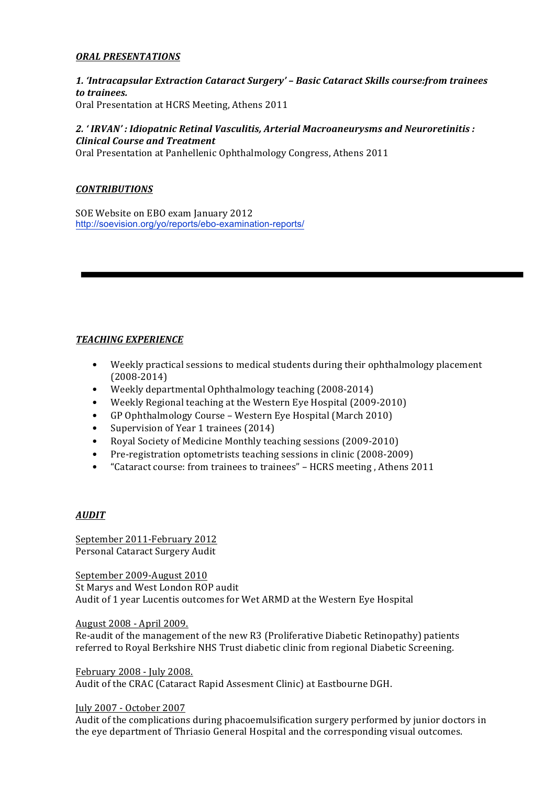## *ORAL PRESENTATIONS*

*1. 'Intracapsular Extraction Cataract Surgery' – Basic Cataract Skills course:from trainees to trainees.* Oral Presentation at HCRS Meeting, Athens 2011

# *2. ' IRVAN' : Idiopatnic Retinal Vasculitis, Arterial Macroaneurysms and Neuroretinitis : Clinical Course and Treatment*

Oral Presentation at Panhellenic Ophthalmology Congress, Athens 2011

## *CONTRIBUTIONS*

SOE Website on EBO exam January 2012 http://soevision.org/yo/reports/ebo-examination-reports/

# *TEACHING EXPERIENCE*

- Weekly practical sessions to medical students during their ophthalmology placement (2008-2014)
- Weekly departmental Ophthalmology teaching (2008-2014)
- Weekly Regional teaching at the Western Eye Hospital (2009-2010)
- GP Ophthalmology Course Western Eye Hospital (March 2010)
- Supervision of Year 1 trainees (2014)
- Royal Society of Medicine Monthly teaching sessions (2009-2010)
- Pre-registration optometrists teaching sessions in clinic (2008-2009)
- "Cataract course: from trainees to trainees" HCRS meeting , Athens 2011

## *AUDIT*

September 2011-February 2012 Personal Cataract Surgery Audit

September 2009-August 2010 St Marys and West London ROP audit Audit of 1 year Lucentis outcomes for Wet ARMD at the Western Eye Hospital

August 2008 - April 2009. Re-audit of the management of the new R3 (Proliferative Diabetic Retinopathy) patients referred to Royal Berkshire NHS Trust diabetic clinic from regional Diabetic Screening.

February 2008 - July 2008.

Audit of the CRAC (Cataract Rapid Assesment Clinic) at Eastbourne DGH.

July 2007 - October 2007

Audit of the complications during phacoemulsification surgery performed by junior doctors in the eye department of Thriasio General Hospital and the corresponding visual outcomes.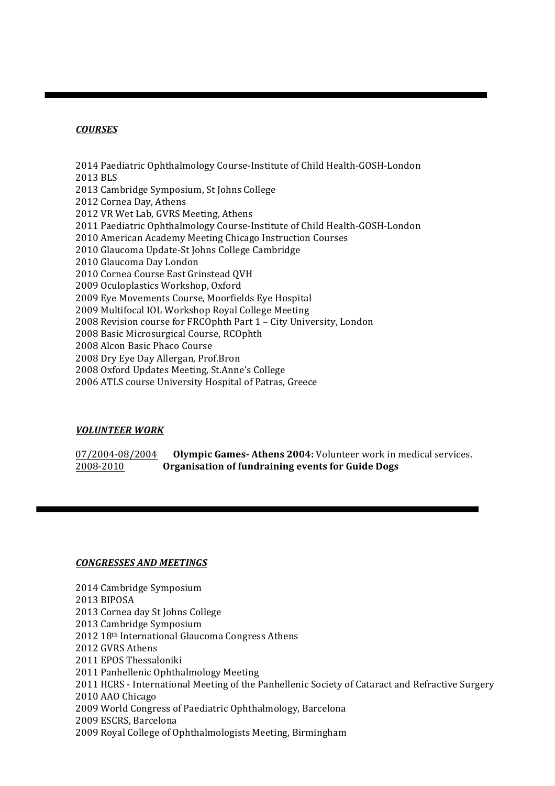# *COURSES*

 Paediatric Ophthalmology Course-Institute of Child Health-GOSH-London BLS Cambridge Symposium, St Johns College Cornea Day, Athens VR Wet Lab, GVRS Meeting, Athens Paediatric Ophthalmology Course-Institute of Child Health-GOSH-London American Academy Meeting Chicago Instruction Courses Glaucoma Update-St Johns College Cambridge Glaucoma Day London Cornea Course East Grinstead QVH Oculoplastics Workshop, Oxford Eye Movements Course, Moorfields Eye Hospital Multifocal IOL Workshop Royal College Meeting Revision course for FRCOphth Part 1 – City University, London Basic Microsurgical Course, RCOphth Alcon Basic Phaco Course Dry Eye Day Allergan, Prof.Bron Oxford Updates Meeting, St.Anne's College ATLS course University Hospital of Patras, Greece

# *VOLUNTEER WORK*

07/2004-08/2004 **Olympic Games-Athens 2004:** Volunteer work in medical services. 2008-2010 **Organisation of fundraining events for Guide Dogs**

#### *CONGRESSES AND MEETINGS*

- Cambridge Symposium
- BIPOSA
- Cornea day St Johns College
- Cambridge Symposium
- 18th International Glaucoma Congress Athens
- GVRS Athens
- EPOS Thessaloniki
- Panhellenic Ophthalmology Meeting
- HCRS International Meeting of the Panhellenic Society of Cataract and Refractive Surgery
- AAO Chicago
- World Congress of Paediatric Ophthalmology, Barcelona
- ESCRS, Barcelona
- Royal College of Ophthalmologists Meeting, Birmingham